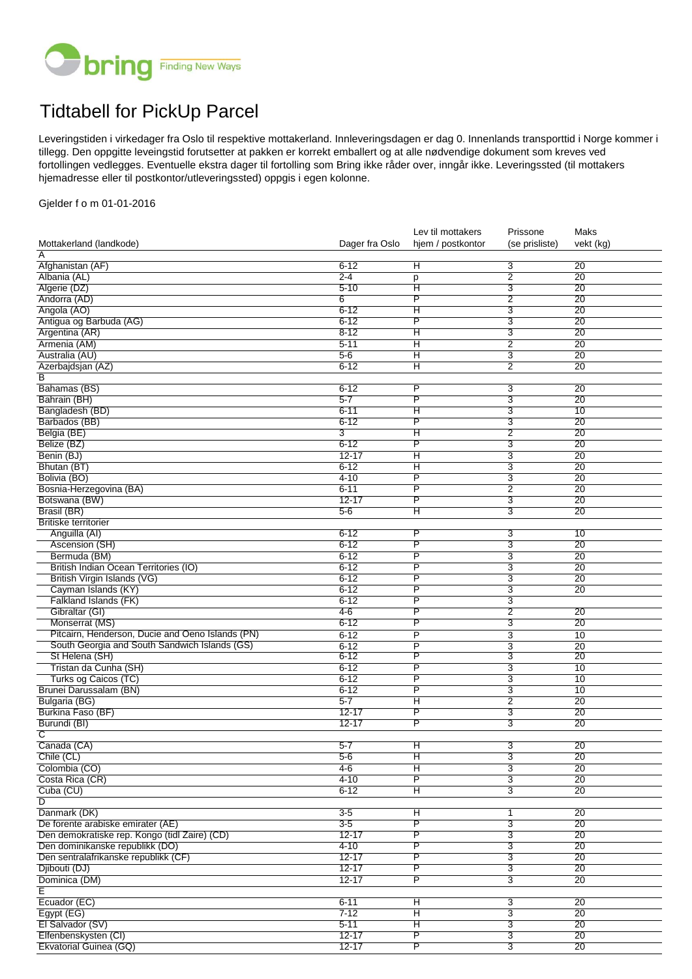

## Tidtabell for PickUp Parcel

Leveringstiden i virkedager fra Oslo til respektive mottakerland. Innleveringsdagen er dag 0. Innenlands transporttid i Norge kommer i tillegg. Den oppgitte leveingstid forutsetter at pakken er korrekt emballert og at alle nødvendige dokument som kreves ved fortollingen vedlegges. Eventuelle ekstra dager til fortolling som Bring ikke råder over, inngår ikke. Leveringssted (til mottakers hjemadresse eller til postkontor/utleveringssted) oppgis i egen kolonne.

## Gjelder f o m 01-01-2016

|                                                    |                      | Lev til mottakers                    | Prissone                | Maks                               |
|----------------------------------------------------|----------------------|--------------------------------------|-------------------------|------------------------------------|
| Mottakerland (landkode)                            | Dager fra Oslo       | hjem / postkontor                    | (se prisliste)          | vekt (kg)                          |
| $\overline{A}$<br>Afghanistan (AF)                 | $6 - 12$             | н                                    | 3                       | 20                                 |
| Albania (AL)                                       | $2 - 4$              | p                                    | $\overline{2}$          | $\overline{20}$                    |
| Algerie (DZ)                                       | $5 - 10$             | н                                    | $\overline{3}$          | 20                                 |
| Andorra (AD)                                       | 6                    | P                                    | $\overline{2}$          | 20                                 |
| Angola (AO)                                        | $6 - 12$             | Ή                                    | 3                       | $\overline{20}$                    |
| Antigua og Barbuda (AG)                            | $6 - 12$             | P                                    | 3                       | 20                                 |
| Argentina (AR)                                     | $8 - 12$             | н                                    | 3                       | 20                                 |
| Armenia (AM)                                       | $5 - 11$             | Η                                    | $\overline{2}$          | $\overline{20}$                    |
| Australia (AU)                                     | $5-6$                | Η                                    | 3                       | 20                                 |
| Azerbajdsjan (AZ)                                  | $6 - 12$             | Ή                                    | $\overline{2}$          | $\overline{20}$                    |
| В<br>Bahamas (BS)                                  | $6 - 12$             | P                                    | 3                       | 20                                 |
| Bahrain (BH)                                       | $5 - 7$              | $\overline{\mathsf{P}}$              | $\overline{3}$          | $\overline{20}$                    |
| Bangladesh (BD)                                    | $6 - 11$             | Н                                    | 3                       | 10                                 |
| Barbados (BB)                                      | $6 - 12$             | P                                    | 3                       | $\overline{20}$                    |
| Belgia (BE)                                        | 3                    | Η                                    | $\overline{2}$          | 20                                 |
| Belize (BZ)                                        | $6 - 12$             | P                                    | 3                       | 20                                 |
| Benin (BJ)                                         | $12 - 17$            | Ή                                    | 3                       | $\overline{20}$                    |
| Bhutan (BT)                                        | $6 - 12$             | Н                                    | 3                       | 20                                 |
| Bolivia (BO)                                       | $4 - 10$             | P                                    | 3                       | $\overline{20}$                    |
| Bosnia-Herzegovina (BA)                            | $6 - 11$             | $\overline{P}$                       | $\overline{2}$          | 20                                 |
| Botswana (BW)                                      | $12 - 17$            | P                                    | 3                       | 20                                 |
| Brasil (BR)                                        | $5 - 6$              | Η                                    | 3                       | $\overline{20}$                    |
| <b>Britiske territorier</b>                        |                      |                                      |                         |                                    |
| Anguilla (AI)                                      | $6 - 12$             | P                                    | 3                       | 10                                 |
| Ascension (SH)                                     | $6 - 12$             | $\overline{P}$                       | 3                       | $\overline{20}$                    |
| Bermuda (BM)                                       | $6 - 12$             | P                                    | 3                       | 20                                 |
| British Indian Ocean Territories (IO)              | $6 - 12$<br>$6 - 12$ | P<br>P                               | 3                       | $\overline{20}$                    |
| British Virgin Islands (VG)<br>Cayman Islands (KY) | $6 - 12$             | P                                    | 3<br>3                  | 20<br>20                           |
| Falkland Islands (FK)                              | $6 - 12$             | $\overline{P}$                       | 3                       |                                    |
| Gibraltar (GI)                                     | $4 - 6$              | P                                    | $\overline{2}$          | $\overline{20}$                    |
| Monserrat (MS)                                     | $6 - 12$             | P                                    | $\overline{\mathbf{3}}$ | $\overline{20}$                    |
| Pitcairn, Henderson, Ducie and Oeno Islands (PN)   | $6 - 12$             | P                                    | 3                       | 10                                 |
| South Georgia and South Sandwich Islands (GS)      | $6 - 12$             | P                                    | 3                       | 20                                 |
| St Helena (SH)                                     | $6 - 12$             | P                                    | 3                       | $\overline{20}$                    |
| Tristan da Cunha (SH)                              | $6 - 12$             | P                                    | 3                       | 10                                 |
| Turks og Caicos (TC)                               | $6 - 12$             | P                                    | 3                       | 10                                 |
| Brunei Darussalam (BN)                             | $6 - 12$             | $\overline{\mathsf{P}}$              | 3                       | 10                                 |
| Bulgaria (BG)                                      | $5 - 7$              | Ή                                    | $\overline{2}$          | 20                                 |
| Burkina Faso (BF)                                  | $12 - 17$            | P                                    | 3                       | $\overline{20}$                    |
| Burundi (BI)                                       | $12 - 17$            | P                                    | 3                       | 20                                 |
| C                                                  |                      |                                      |                         |                                    |
| Canada (CA)                                        | $5 - 7$              | Η                                    | 3                       | $\overline{20}$                    |
| Chile (CL)                                         | $5-6$                | Ή                                    | 3<br>3                  | 20                                 |
| Colombia (CO)<br>Costa Rica (CR)                   | $4-6$                | $\overline{\rm H}$<br>$\overline{P}$ | 3                       | $\overline{20}$<br>$\overline{20}$ |
| Cuba (CU)                                          | $4 - 10$<br>$6 - 12$ | $\overline{\mathsf{H}}$              | 3                       | 20                                 |
| $\overline{\mathsf{D}}$                            |                      |                                      |                         |                                    |
| Danmark (DK)                                       | $3 - 5$              | Η                                    | 1                       | 20                                 |
| De forente arabiske emirater (AE)                  | $3-5$                | $\overline{\mathsf{P}}$              | 3                       | $\overline{20}$                    |
| Den demokratiske rep. Kongo (tidl Zaire) (CD)      | $12 - 17$            | $\overline{P}$                       | 3                       | $\overline{20}$                    |
| Den dominikanske republikk (DO)                    | $4 - 10$             | P                                    | 3                       | 20                                 |
| Den sentralafrikanske republikk (CF)               | $12 - 17$            | P                                    | 3                       | $\overline{20}$                    |
| Djibouti (DJ)                                      | $12 - 17$            | $\overline{P}$                       | 3                       | 20                                 |
| Dominica (DM)                                      | $12 - 17$            | $\overline{\mathsf{P}}$              | 3                       | $\overline{20}$                    |
| Ε                                                  |                      |                                      |                         |                                    |
| Ecuador (EC)                                       | $6 - 11$             | H                                    | 3                       | 20                                 |
| Egypt (EG)                                         | $7 - 12$             | $\overline{\mathsf{H}}$              | 3                       | $\overline{20}$                    |
| El Salvador (SV)                                   | $5 - 11$             | $\overline{H}$                       | $\overline{3}$          | $\overline{20}$                    |
| Elfenbenskysten (CI)                               | $12 - 17$            | $\overline{P}$                       | 3                       | $\overline{20}$                    |
| Ekvatorial Guinea (GQ)                             | $12 - 17$            | $\overline{P}$                       | $\overline{3}$          | $\overline{20}$                    |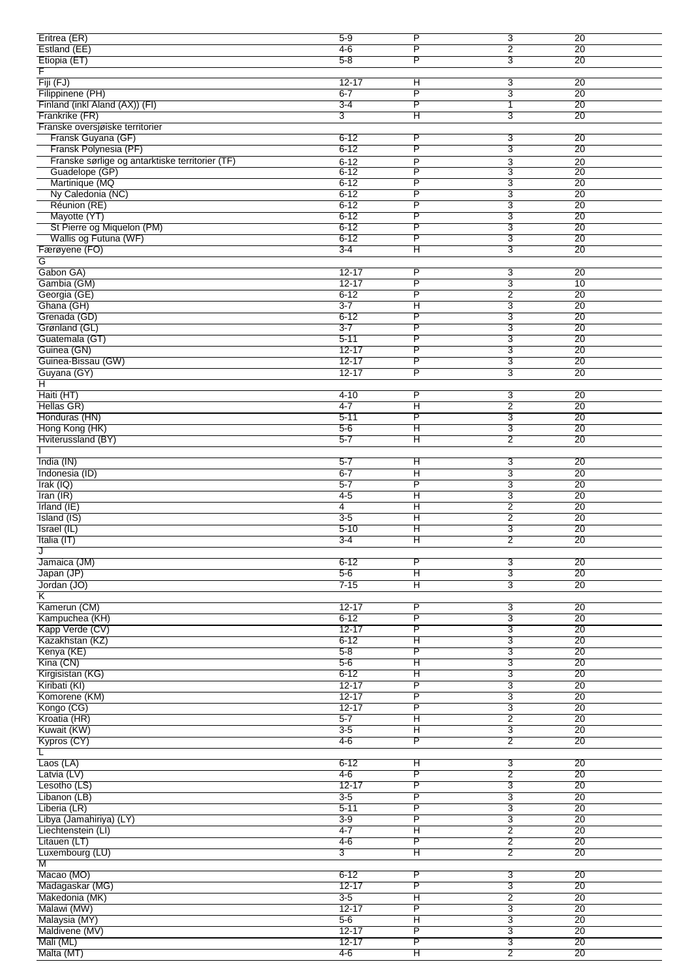| Eritrea (ER)                                    | $5-9$     | P                       | 3                       | 20              |
|-------------------------------------------------|-----------|-------------------------|-------------------------|-----------------|
| Estland (EE)                                    | $4 - 6$   | P                       | $\overline{2}$          | 20              |
| Etiopia (ET)                                    | $5 - 8$   | P                       | 3                       | $\overline{20}$ |
| F                                               |           |                         |                         |                 |
|                                                 |           |                         |                         |                 |
| Fiji (FJ)                                       | $12 - 17$ | H                       | 3                       | $\overline{20}$ |
| Filippinene (PH)                                | $6 - 7$   | P                       | 3                       | 20              |
| Finland (inkl Aland (AX)) (FI)                  | $3 - 4$   | P                       | 1                       | $\overline{20}$ |
| Frankrike (FR)                                  | 3         | $\overline{\mathsf{H}}$ | 3                       | 20              |
|                                                 |           |                         |                         |                 |
| Franske oversjøiske territorier                 |           |                         |                         |                 |
| Fransk Guyana (GF)                              | $6 - 12$  | P                       | 3                       | $\overline{20}$ |
| Fransk Polynesia (PF)                           | $6 - 12$  | P                       | 3                       | 20              |
| Franske sørlige og antarktiske territorier (TF) | $6 - 12$  | P                       | 3                       | 20              |
|                                                 |           |                         |                         |                 |
| Guadelope (GP)                                  | $6 - 12$  | P                       | 3                       | 20              |
| Martinique (MQ                                  | $6 - 12$  | P                       | 3                       | 20              |
| Ny Caledonia (NC)                               | $6 - 12$  | P                       | $\overline{3}$          | $\overline{20}$ |
| Réunion (RE)                                    | $6 - 12$  | P                       | 3                       | 20              |
|                                                 |           | P                       |                         | $\overline{20}$ |
| Mayotte (YT)                                    | $6 - 12$  |                         | 3                       |                 |
| St Pierre og Miquelon (PM)                      | $6 - 12$  | P                       | $\overline{3}$          | $\overline{20}$ |
| Wallis og Futuna (WF)                           | $6 - 12$  | P                       | 3                       | 20              |
| Færøyene (FO)                                   | $3 - 4$   | $\overline{\mathsf{H}}$ | 3                       | $\overline{20}$ |
| G                                               |           |                         |                         |                 |
|                                                 |           |                         |                         |                 |
| Gabon GA)                                       | $12 - 17$ | P                       | 3                       | 20              |
| Gambia (GM)                                     | $12 - 17$ | P                       | $\overline{3}$          | $\overline{10}$ |
| Georgia (GE)                                    | $6 - 12$  | Ρ                       | 2                       | 20              |
| Ghana (GH)                                      | $3 - 7$   | $\overline{\mathsf{H}}$ | 3                       | 20              |
|                                                 |           |                         |                         |                 |
| Grenada (GD)                                    | $6 - 12$  | P                       | 3                       | $\overline{20}$ |
| Grønland (GL)                                   | $3 - 7$   | P                       | 3                       | 20              |
| Guatemala (GT)                                  | $5 - 11$  | P                       | $\overline{3}$          | $\overline{20}$ |
| Guinea (GN)                                     | $12 - 17$ | P                       | 3                       | 20              |
|                                                 |           |                         |                         |                 |
| Guinea-Bissau (GW)                              | $12 - 17$ | P                       | 3                       | $\overline{20}$ |
| Guyana (GY)                                     | $12 - 17$ | P                       | 3                       | $\overline{20}$ |
| $\overline{\mathsf{H}}$                         |           |                         |                         |                 |
| Haiti (HT)                                      | $4 - 10$  | P                       | 3                       | $\overline{20}$ |
|                                                 | $4 - 7$   |                         |                         | 20              |
| Hellas GR)                                      |           | н                       | $\overline{2}$          |                 |
| Honduras (HN)                                   | $5 - 11$  | P                       | 3                       | $\overline{20}$ |
| Hong Kong (HK)                                  | $5-6$     | H                       | 3                       | $\overline{20}$ |
| Hviterussland (BY)                              | $5 - 7$   | н                       | 2                       | 20              |
|                                                 |           |                         |                         |                 |
|                                                 |           |                         |                         |                 |
| India (IN)                                      | $5 - 7$   | н                       | 3                       | 20              |
| Indonesia (ID)                                  | $6 - 7$   | $\overline{\mathsf{H}}$ | $\overline{3}$          | 20              |
| Irak $(IQ)$                                     | $5 - 7$   | P                       | 3                       | $\overline{20}$ |
| Iran (IR)                                       | $4 - 5$   | Ή                       | 3                       | 20              |
|                                                 |           |                         |                         |                 |
| Irland (IE)                                     | 4         | $\overline{\mathsf{H}}$ | $\overline{2}$          | $\overline{20}$ |
| Island (IS)                                     | $3-5$     | $\overline{H}$          | $\overline{2}$          | $\overline{20}$ |
| Israel (IL)                                     | $5 - 10$  | $\overline{\mathsf{H}}$ | 3                       | 20              |
| Italia (IT)                                     | $3 - 4$   | $\overline{\mathsf{H}}$ | $\overline{2}$          | $\overline{20}$ |
|                                                 |           |                         |                         |                 |
| J                                               |           |                         |                         |                 |
| Jamaica (JM)                                    | $6 - 12$  | P                       | 3                       | $\overline{20}$ |
| Japan (JP)                                      | $5-6$     | Η                       | 3                       | $\overline{20}$ |
| Jordan (JO)                                     | $7 - 15$  | $\overline{\mathsf{H}}$ | 3                       | 20              |
| $\overline{\mathsf{K}}$                         |           |                         |                         |                 |
|                                                 | $12 - 17$ | P                       |                         |                 |
| Kamerun (CM)                                    |           |                         | 3                       | 20              |
| Kampuchea (KH)                                  | $6 - 12$  | P                       | $\overline{3}$          | 20              |
| Kapp Verde (CV)                                 | $12 - 17$ | P                       | 3                       | $\overline{20}$ |
| Kazakhstan (KZ)                                 | $6 - 12$  | Ή                       | 3                       | 20              |
| Kenya (KE)                                      | $5 - 8$   | P                       | $\overline{\mathbf{3}}$ | $\overline{20}$ |
|                                                 |           |                         |                         |                 |
| Kina (CN)                                       | $5-6$     | Η                       | 3                       | 20              |
| Kirgisistan (KG)                                | $6 - 12$  | $\overline{\mathsf{H}}$ | $\overline{3}$          | $\overline{20}$ |
| Kiribati (KI)                                   | $12 - 17$ | P                       | $\overline{3}$          | $\overline{20}$ |
| Komorene (KM)                                   | $12 - 17$ | P                       | 3                       | 20              |
|                                                 | $12 - 17$ | P                       |                         | $\overline{20}$ |
| Kongo (CG)                                      |           |                         | $\overline{3}$          |                 |
| Kroatia (HR)                                    | $5 - 7$   | $\overline{H}$          | $\overline{2}$          | $\overline{20}$ |
| Kuwait (KW)                                     | $3 - 5$   | Ή                       | 3                       | $\overline{20}$ |
| Kypros (CY)                                     | $4-6$     | P                       | $\overline{2}$          | $\overline{20}$ |
| L                                               |           |                         |                         |                 |
|                                                 |           |                         |                         |                 |
| Laos (LA)                                       | $6 - 12$  | Н                       | 3                       | 20              |
| Latvia (LV)                                     | $4-6$     | $\overline{P}$          | $\overline{2}$          | $\overline{20}$ |
| Lesotho (LS)                                    | $12 - 17$ | P                       | 3                       | $\overline{20}$ |
| Libanon (LB)                                    | $3 - 5$   | P                       | $\overline{\mathbf{3}}$ | $\overline{20}$ |
| Liberia (LR)                                    | $5 - 11$  | P                       | $\overline{3}$          | 20              |
|                                                 |           |                         |                         |                 |
| Libya (Jamahiriya) (LY)                         | $3 - 9$   | P                       | 3                       | 20              |
| Liechtenstein (LI)                              | $4 - 7$   | $\overline{\mathsf{H}}$ | $\overline{2}$          | 20              |
| Litauen (LT)                                    | $4 - 6$   | P                       | $\overline{2}$          | $\overline{20}$ |
| Luxembourg (LU)                                 | 3         | Η                       | 2                       | $\overline{20}$ |
|                                                 |           |                         |                         |                 |
| M                                               |           |                         |                         |                 |
| Macao (MO)                                      | $6 - 12$  | P                       | 3                       | 20              |
| Madagaskar (MG)                                 | $12 - 17$ | $\overline{P}$          | $\overline{3}$          | $\overline{20}$ |
| Makedonia (MK)                                  | $3 - 5$   | Ή                       | $\overline{2}$          | $\overline{20}$ |
| Malawi (MW)                                     | $12 - 17$ | P                       | 3                       | $\overline{20}$ |
|                                                 |           |                         |                         |                 |
| Malaysia (MY)                                   | $5-6$     | $\overline{H}$          | $\overline{3}$          | $\overline{20}$ |
| Maldivene (MV)                                  | $12 - 17$ | P                       | 3                       | 20              |
| Mali (ML)                                       | $12 - 17$ | $_{\rm P}$              | 3                       | $\overline{20}$ |
| Malta (MT)                                      | $4 - 6$   | $\overline{\mathsf{H}}$ | $\overline{2}$          | $\overline{20}$ |
|                                                 |           |                         |                         |                 |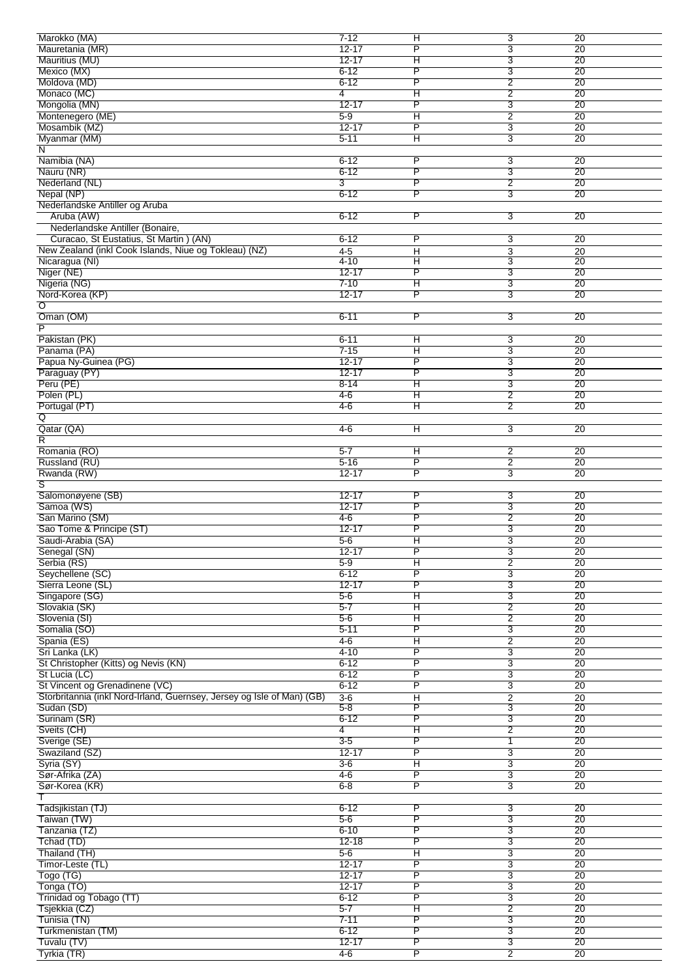| Marokko (MA)                                                           | $7 - 12$             | Ή                       | 3                       | $\overline{20}$ |
|------------------------------------------------------------------------|----------------------|-------------------------|-------------------------|-----------------|
| Mauretania (MR)                                                        | $12 - 17$            | P                       | 3                       | 20              |
| Mauritius (MU)                                                         | $12 - 17$            | н                       | 3                       | 20              |
|                                                                        |                      |                         |                         |                 |
| Mexico (MX)                                                            | $6 - 12$             | P                       | $\overline{3}$          | 20              |
| Moldova (MD)                                                           | $6 - 12$             | P                       | $\overline{2}$          | 20              |
| Monaco (MC)                                                            | 4                    | н                       | 2                       | $\overline{20}$ |
|                                                                        |                      |                         |                         |                 |
| Mongolia (MN)                                                          | $12 - 17$            | P                       | 3                       | 20              |
| Montenegero (ME)                                                       | $5-9$                | н                       | 2                       | 20              |
| Mosambik (MZ)                                                          | $12 - 17$            | P                       | $\overline{3}$          | 20              |
|                                                                        |                      |                         |                         |                 |
| Myanmar (MM)                                                           | $5 - 11$             | Η                       | 3                       | 20              |
| N                                                                      |                      |                         |                         |                 |
| Namibia (NA)                                                           |                      | P                       |                         |                 |
|                                                                        | $6 - 12$             |                         | 3                       | 20              |
| Nauru (NR)                                                             | $6 - 12$             | P                       | 3                       | 20              |
| Nederland (NL)                                                         | 3                    | P                       | $\overline{2}$          | 20              |
|                                                                        |                      |                         |                         | 20              |
| Nepal (NP)                                                             | $6 - 12$             | P                       | 3                       |                 |
| Nederlandske Antiller og Aruba                                         |                      |                         |                         |                 |
| Aruba (AW)                                                             | $6 - 12$             | P                       | 3                       | $\overline{20}$ |
|                                                                        |                      |                         |                         |                 |
| Nederlandske Antiller (Bonaire,                                        |                      |                         |                         |                 |
| Curacao, St Eustatius, St Martin ) (AN)                                | $6 - 12$             | P                       | 3                       | 20              |
| New Zealand (inkl Cook Islands, Niue og Tokleau) (NZ)                  |                      |                         |                         |                 |
|                                                                        | $4 - 5$              | H                       | 3                       | 20              |
| Nicaragua (NI)                                                         | $4 - 10$             | Ή                       | 3                       | 20              |
| Niger (NE)                                                             | $12 - 17$            | $\overline{\mathsf{P}}$ | $\overline{3}$          | $\overline{20}$ |
|                                                                        |                      |                         |                         |                 |
| Nigeria (NG)                                                           | $7 - 10$             | н                       | 3                       | 20              |
| Nord-Korea (KP)                                                        | $12 - 17$            | Ρ                       | 3                       | 20              |
| $\overline{\circ}$                                                     |                      |                         |                         |                 |
|                                                                        |                      |                         |                         |                 |
| Oman (OM)                                                              | $6 - 11$             | Ρ                       | 3                       | 20              |
| $\overline{\mathsf{P}}$                                                |                      |                         |                         |                 |
|                                                                        |                      |                         |                         |                 |
| Pakistan (PK)                                                          | $6 - 11$             | н                       | 3                       | 20              |
| Panama (PA)                                                            | $7 - 15$             | $\overline{\mathsf{H}}$ | 3                       | 20              |
|                                                                        | $12 - 17$            | P                       |                         | $\overline{20}$ |
| Papua Ny-Guinea (PG)                                                   |                      |                         | 3                       |                 |
| Paraguay (PY)                                                          | $12 - 17$            | P                       | 3                       | 20              |
| Peru (PE)                                                              | $8 - 14$             | $\overline{\mathsf{H}}$ | $\overline{\mathbf{3}}$ | $\overline{20}$ |
|                                                                        |                      |                         |                         |                 |
| Polen (PL)                                                             | $4-6$                | н                       | 2                       | 20              |
| Portugal (PT)                                                          | 4-6                  | $\overline{\mathsf{H}}$ | $\overline{2}$          | 20              |
|                                                                        |                      |                         |                         |                 |
| $\overline{Q}$                                                         |                      |                         |                         |                 |
| Qatar (QA)                                                             | $4-6$                | Ή                       | 3                       | 20              |
| $\overline{R}$                                                         |                      |                         |                         |                 |
|                                                                        |                      |                         |                         |                 |
| Romania (RO)                                                           | $5 - 7$              | $\overline{\mathsf{H}}$ | $\overline{2}$          | 20              |
| Russland (RU)                                                          | $5 - 16$             | P                       | $\overline{2}$          | 20              |
|                                                                        | $12 - 17$            | P                       | 3                       | $\overline{20}$ |
| Rwanda (RW)                                                            |                      |                         |                         |                 |
| S                                                                      |                      |                         |                         |                 |
| Salomonøyene (SB)                                                      | $12 - 17$            | $\overline{\mathsf{P}}$ | 3                       | 20              |
|                                                                        |                      |                         |                         |                 |
| Samoa (WS)                                                             | $12 - 17$            | P                       | 3                       | 20              |
| San Marino (SM)                                                        | $4 - 6$              | P                       | 2                       | 20              |
|                                                                        | $12 - 17$            | P                       |                         | $\overline{20}$ |
| Sao Tome & Principe (ST)                                               |                      |                         | 3                       |                 |
| Saudi-Arabia (SA)                                                      | $5 - 6$              | Η                       | 3                       | 20              |
| Senegal (SN)                                                           | $12 - 17$            | $\overline{P}$          | $\overline{3}$          | $\overline{20}$ |
|                                                                        |                      |                         |                         |                 |
| Serbia (RS)                                                            | $5-9$                | $\overline{\mathsf{H}}$ | $\overline{2}$          | 20              |
| Seychellene (SC)                                                       | $6 - 12$             | P                       | 3                       | 20              |
| Sierra Leone (SL)                                                      | $12 - 17$            | P                       | 3                       | $\overline{20}$ |
|                                                                        |                      |                         |                         |                 |
| Singapore (SG)                                                         | $5-6$                | н                       | 3                       | 20              |
| Slovakia (SK)                                                          | $5 - 7$              | $\overline{\mathsf{H}}$ | $\overline{2}$          | 20              |
|                                                                        |                      |                         |                         |                 |
| Slovenia (SI)                                                          | $5-6$                | $\overline{\mathsf{H}}$ | $\overline{2}$          | $\overline{20}$ |
| Somalia (SO)                                                           | $5 - 11$             | P                       | 3                       | 20              |
| Spania (ES)                                                            | $4 - 6$              | Η                       | $\overline{2}$          | $\overline{20}$ |
|                                                                        |                      |                         |                         |                 |
| Sri Lanka (LK)                                                         | $4 - 10$             | P                       | 3                       | 20              |
| St Christopher (Kitts) og Nevis (KN)                                   | $6 - 12$             | P                       | 3                       | 20              |
| St Lucia (LC)                                                          | $6 - 12$             | P                       |                         | $\overline{20}$ |
|                                                                        |                      |                         | 3                       |                 |
| St Vincent og Grenadinene (VC)                                         | $6 - 12$             | P                       | 3                       | 20              |
| Storbritannia (inkl Nord-Irland, Guernsey, Jersey og Isle of Man) (GB) | $3-6$                |                         | $\overline{2}$          | $\overline{20}$ |
|                                                                        |                      |                         |                         |                 |
| Sudan (SD)                                                             |                      | H                       |                         |                 |
|                                                                        | $5 - 8$              | P                       | 3                       | $\overline{20}$ |
|                                                                        | $6 - 12$             | P                       | 3                       | 20              |
| Surinam (SR)                                                           |                      |                         |                         |                 |
| Sveits (CH)                                                            | 4                    | $\overline{\mathsf{H}}$ | $\overline{2}$          | $\overline{20}$ |
| Sverige (SE)                                                           | $3 - 5$              | $\overline{P}$          | $\overline{1}$          | 20              |
|                                                                        | $12 - 17$            | P                       |                         | 20              |
| Swaziland (SZ)                                                         |                      |                         | 3                       |                 |
| Syria (SY)                                                             | $3-6$                | Η                       | 3                       | $\overline{20}$ |
| Sør-Afrika (ZA)                                                        | $4 - 6$              | P                       | 3                       | 20              |
|                                                                        |                      | P                       |                         | $\overline{20}$ |
| Sør-Korea (KR)                                                         | $6 - 8$              |                         | 3                       |                 |
| T                                                                      |                      |                         |                         |                 |
|                                                                        | $6 - 12$             | P                       | 3                       | 20              |
| Tadsjikistan (TJ)                                                      |                      |                         |                         |                 |
| Taiwan (TW)                                                            | $5 - 6$              | P                       | 3                       | $\overline{20}$ |
| Tanzania (TZ)                                                          | $6 - 10$             | P                       | 3                       | 20              |
|                                                                        |                      |                         |                         |                 |
|                                                                        | $12 - 18$            | P                       | 3                       | $\overline{20}$ |
| Thailand (TH)                                                          | $5-6$                | $\overline{H}$          | 3                       | 20              |
|                                                                        | $12 - 17$            | P                       | 3                       | 20              |
| Timor-Leste (TL)                                                       |                      |                         |                         |                 |
| Togo (TG)                                                              | $12 - 17$            | P                       | 3                       | $\overline{20}$ |
|                                                                        | $12 - 17$            | P                       | 3                       | 20              |
|                                                                        |                      |                         |                         |                 |
|                                                                        | $6 - 12$             | P                       | 3                       | 20              |
| Tchad (TD)<br>Tonga (TO)<br>Trinidad og Tobago (TT)<br>Tsjekkia (CZ)   | $5 - 7$              | $\overline{\mathsf{H}}$ | $\overline{2}$          | $\overline{20}$ |
|                                                                        | $7 - 11$             | P                       | 3                       | 20              |
| Tunisia (TN)                                                           |                      |                         |                         |                 |
| Turkmenistan (TM)                                                      | $6 - 12$             | P                       | 3                       | $\overline{20}$ |
| Tuvalu (TV)<br>Tyrkia (TR)                                             | $12 - 17$<br>$4 - 6$ | P<br>P                  | 3<br>$\overline{2}$     | 20<br>20        |